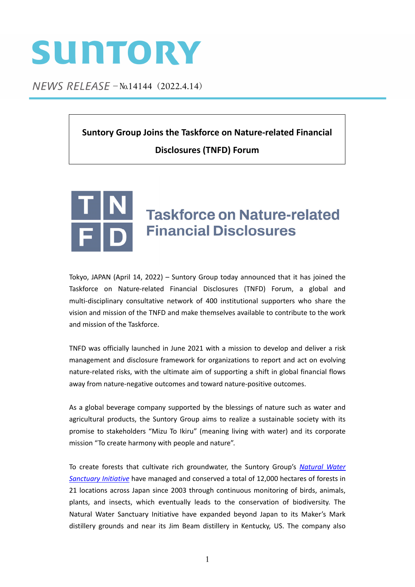## SUNTORY

NEWS RELEASE - No.14144 (2022.4.14)

**Suntory Group Joins the Taskforce on Nature‐related Financial Disclosures (TNFD) Forum**



## **Taskforce on Nature-related Financial Disclosures**

Tokyo, JAPAN (April 14, 2022) – Suntory Group today announced that it has joined the Taskforce on Nature‐related Financial Disclosures (TNFD) Forum, a global and multi‐disciplinary consultative network of 400 institutional supporters who share the vision and mission of the TNFD and make themselves available to contribute to the work and mission of the Taskforce.

TNFD was officially launched in June 2021 with a mission to develop and deliver a risk management and disclosure framework for organizations to report and act on evolving nature‐related risks, with the ultimate aim of supporting a shift in global financial flows away from nature‐negative outcomes and toward nature‐positive outcomes.

As a global beverage company supported by the blessings of nature such as water and agricultural products, the Suntory Group aims to realize a sustainable society with its promise to stakeholders "Mizu To Ikiru" (meaning living with water) and its corporate mission "To create harmony with people and nature".

To create forests that cultivate rich groundwater, the Suntory Group's *[Natural](https://www.suntory.com/csr/activity/environment/eco/forest/) Water [Sanctuary](https://www.suntory.com/csr/activity/environment/eco/forest/) Initiative* have managed and conserved a total of 12,000 hectares of forests in 21 locations across Japan since 2003 through continuous monitoring of birds, animals, plants, and insects, which eventually leads to the conservation of biodiversity. The Natural Water Sanctuary Initiative have expanded beyond Japan to its Maker's Mark distillery grounds and near its Jim Beam distillery in Kentucky, US. The company also